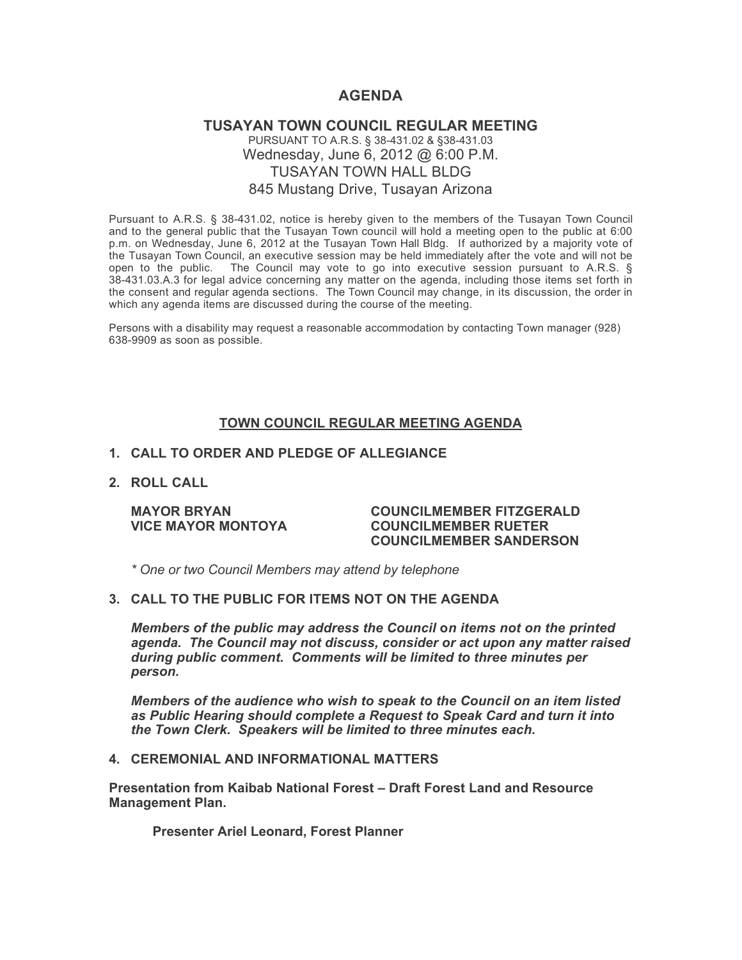# **AGENDA**

# **TUSAYAN TOWN COUNCIL REGULAR MEETING** PURSUANT TO A.R.S. § 38-431.02 & §38-431.03 Wednesday, June 6, 2012 @ 6:00 P.M. TUSAYAN TOWN HALL BLDG 845 Mustang Drive, Tusayan Arizona

Pursuant to A.R.S. § 38-431.02, notice is hereby given to the members of the Tusayan Town Council and to the general public that the Tusayan Town council will hold a meeting open to the public at 6:00 p.m. on Wednesday, June 6, 2012 at the Tusayan Town Hall Bldg. If authorized by a majority vote of the Tusayan Town Council, an executive session may be held immediately after the vote and will not be open to the public. The Council may vote to go into executive session pursuant to A.R.S. § 38-431.03.A.3 for legal advice concerning any matter on the agenda, including those items set forth in the consent and regular agenda sections. The Town Council may change, in its discussion, the order in which any agenda items are discussed during the course of the meeting.

Persons with a disability may request a reasonable accommodation by contacting Town manager (928) 638-9909 as soon as possible.

## **TOWN COUNCIL REGULAR MEETING AGENDA**

# **1. CALL TO ORDER AND PLEDGE OF ALLEGIANCE**

**2. ROLL CALL**

#### **MAYOR BRYAN COUNCILMEMBER FITZGERALD VICE MAYOR MONTOYA COUNCILMEMBER RUETER COUNCILMEMBER SANDERSON**

*\* One or two Council Members may attend by telephone*

### **3. CALL TO THE PUBLIC FOR ITEMS NOT ON THE AGENDA**

*Members of the public may address the Council* **o***n items not on the printed agenda. The Council may not discuss, consider or act upon any matter raised during public comment. Comments will be limited to three minutes per person.*

*Members of the audience who wish to speak to the Council on an item listed as Public Hearing should complete a Request to Speak Card and turn it into the Town Clerk. Speakers will be limited to three minutes each.*

#### **4. CEREMONIAL AND INFORMATIONAL MATTERS**

**Presentation from Kaibab National Forest – Draft Forest Land and Resource Management Plan.**

**Presenter Ariel Leonard, Forest Planner**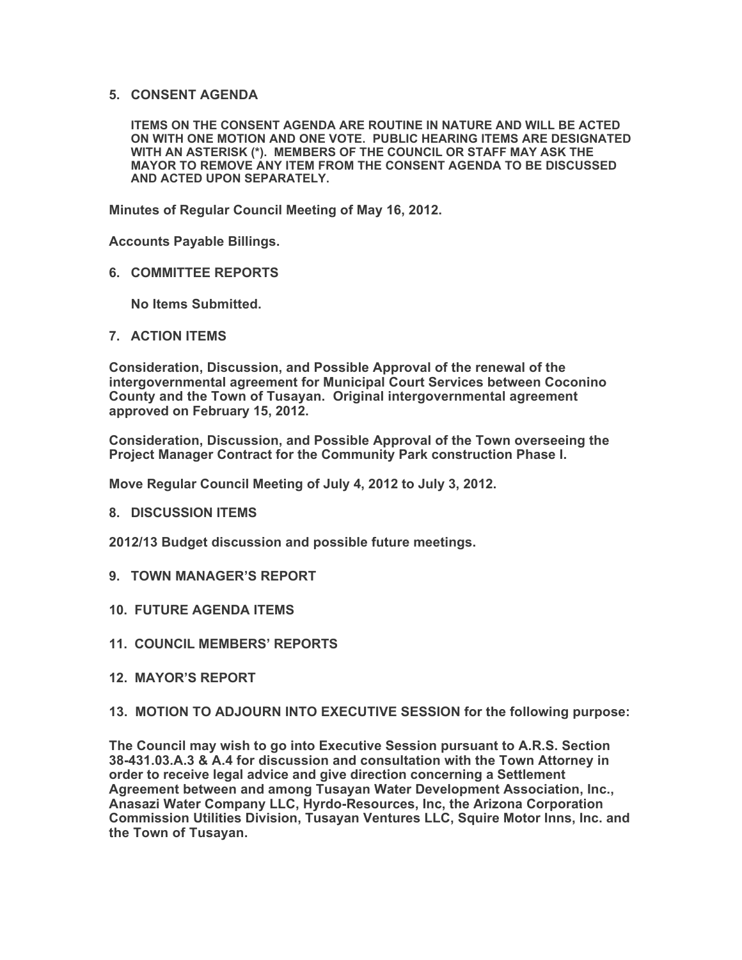## **5. CONSENT AGENDA**

**ITEMS ON THE CONSENT AGENDA ARE ROUTINE IN NATURE AND WILL BE ACTED ON WITH ONE MOTION AND ONE VOTE. PUBLIC HEARING ITEMS ARE DESIGNATED WITH AN ASTERISK (\*). MEMBERS OF THE COUNCIL OR STAFF MAY ASK THE MAYOR TO REMOVE ANY ITEM FROM THE CONSENT AGENDA TO BE DISCUSSED AND ACTED UPON SEPARATELY.**

**Minutes of Regular Council Meeting of May 16, 2012.**

**Accounts Payable Billings.**

**6. COMMITTEE REPORTS**

**No Items Submitted.**

**7. ACTION ITEMS**

**Consideration, Discussion, and Possible Approval of the renewal of the intergovernmental agreement for Municipal Court Services between Coconino County and the Town of Tusayan. Original intergovernmental agreement approved on February 15, 2012.**

**Consideration, Discussion, and Possible Approval of the Town overseeing the Project Manager Contract for the Community Park construction Phase I.**

**Move Regular Council Meeting of July 4, 2012 to July 3, 2012.**

**8. DISCUSSION ITEMS**

**2012/13 Budget discussion and possible future meetings.**

- **9. TOWN MANAGER'S REPORT**
- **10. FUTURE AGENDA ITEMS**
- **11. COUNCIL MEMBERS' REPORTS**
- **12. MAYOR'S REPORT**
- **13. MOTION TO ADJOURN INTO EXECUTIVE SESSION for the following purpose:**

**The Council may wish to go into Executive Session pursuant to A.R.S. Section 38-431.03.A.3 & A.4 for discussion and consultation with the Town Attorney in order to receive legal advice and give direction concerning a Settlement Agreement between and among Tusayan Water Development Association, Inc., Anasazi Water Company LLC, Hyrdo-Resources, Inc, the Arizona Corporation Commission Utilities Division, Tusayan Ventures LLC, Squire Motor Inns, Inc. and the Town of Tusayan.**